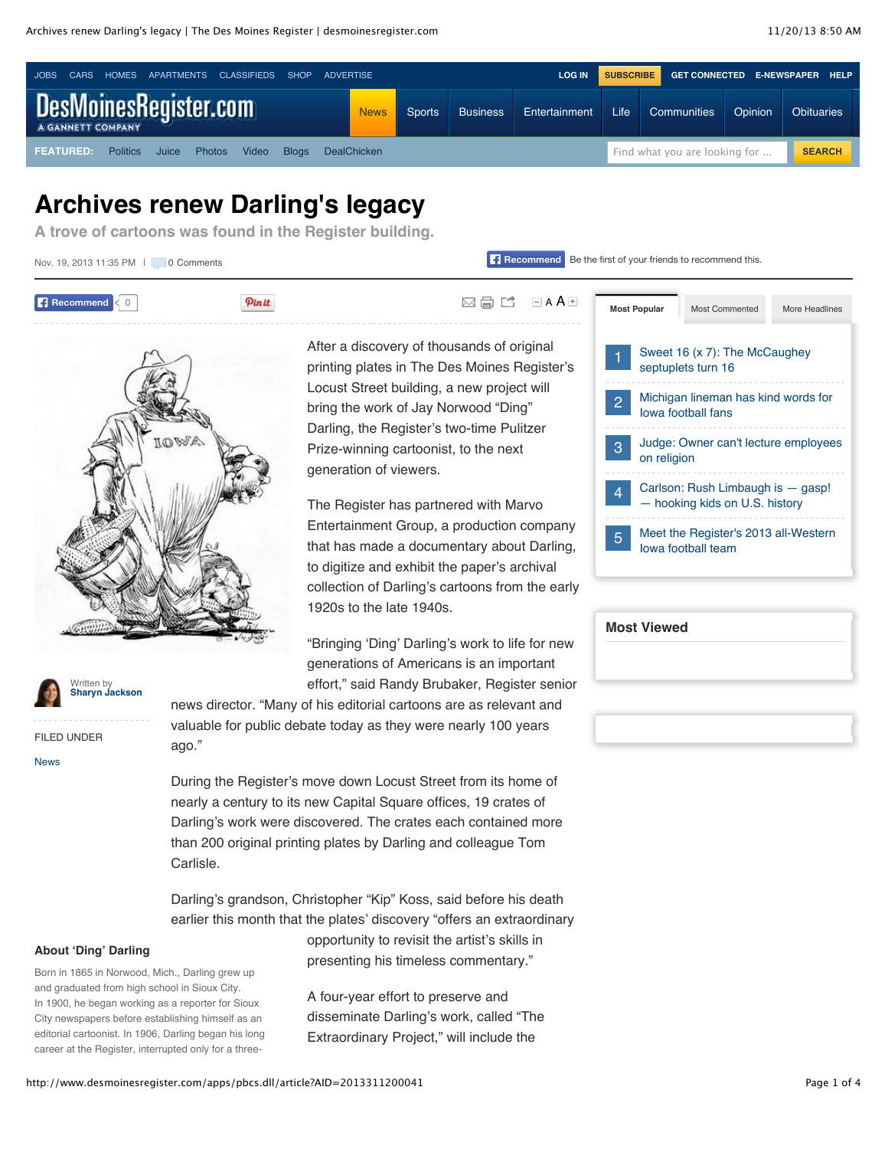

# **Archives renew Darling's legacy**

**A trove of cartoons was found in the Register building.**

```
Nov. 19, 2013 11:35 PM | 0 Comments
```

| 0 Comments | <b>Recommend</b> Be the first of your friends to recommend this. |
|------------|------------------------------------------------------------------|





After a discovery of thousands of original printing plates in The Des Moines Register's Locust Street building, a new project will bring the work of Jay Norwood "Ding" Darling, the Register's two-time Pulitzer Prize-winning cartoonist, to the next generation of viewers.

The Register has partnered with Marvo Entertainment Group, a production company that has made a documentary about Darling, to digitize and exhibit the paper's archival collection of Darling's cartoons from the early 1920s to the late 1940s.

"Bringing ʻDing' Darling's work to life for new generations of Americans is an important effort," said Randy Brubaker, Register senior

Written by **[Sharyn Jackson](mailto:sjackson@dmreg.com)**

FILED UNDER

[News](http://www.desmoinesregister.com/section/NEWS)

news director. "Many of his editorial cartoons are as relevant and valuable for public debate today as they were nearly 100 years ago."

During the Register's move down Locust Street from its home of nearly a century to its new Capital Square offices, 19 crates of Darling's work were discovered. The crates each contained more than 200 original printing plates by Darling and colleague Tom Carlisle.

Darling's grandson, Christopher "Kip" Koss, said before his death earlier this month that the plates' discovery "offers an extraordinary

#### **About ʻDing' Darling**

Born in 1865 in Norwood, Mich., Darling grew up and graduated from high school in Sioux City. In 1900, he began working as a reporter for Sioux City newspapers before establishing himself as an editorial cartoonist. In 1906, Darling began his long career at the Register, interrupted only for a threeopportunity to revisit the artist's skills in presenting his timeless commentary."

A four-year effort to preserve and disseminate Darling's work, called "The Extraordinary Project," will include the



| <b>Most Viewed</b> |  |  |  |  |  |  |
|--------------------|--|--|--|--|--|--|
|                    |  |  |  |  |  |  |
|                    |  |  |  |  |  |  |
|                    |  |  |  |  |  |  |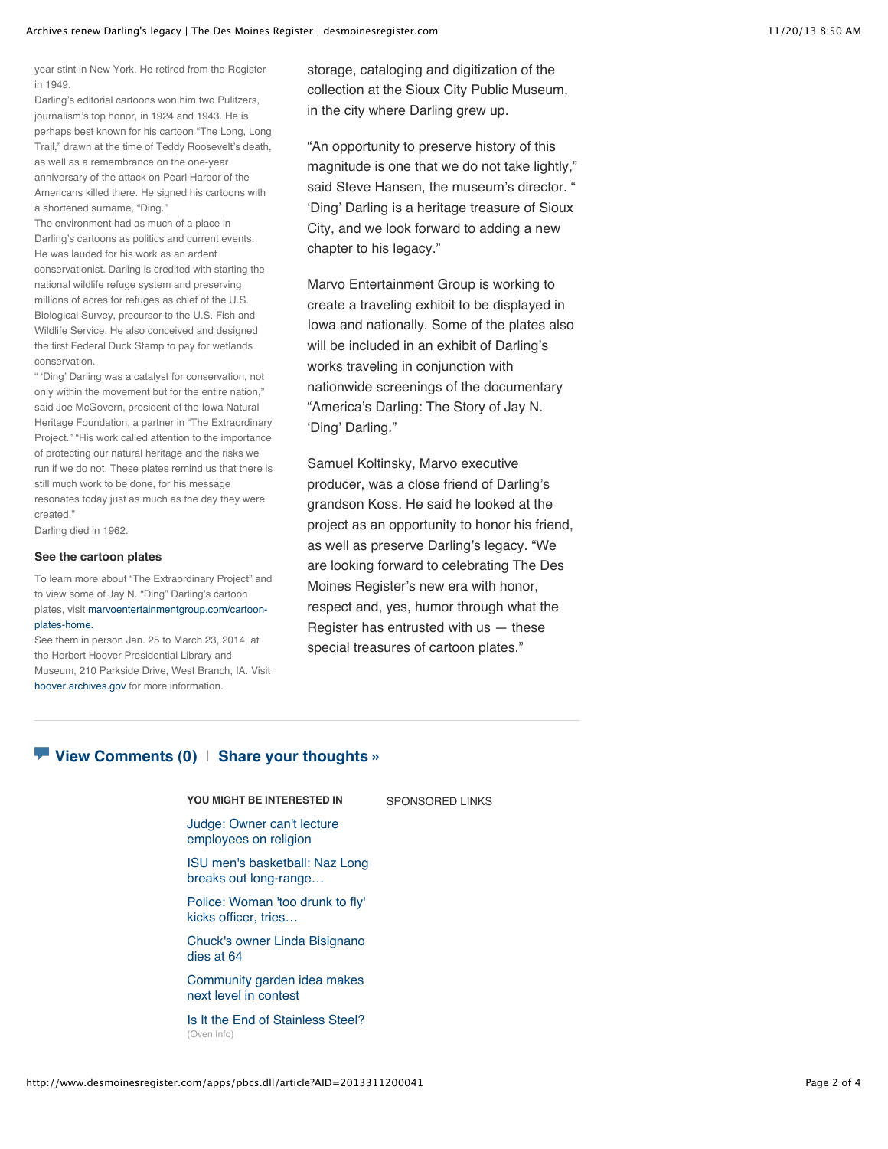year stint in New York. He retired from the Register in 1949.

Darling's editorial cartoons won him two Pulitzers. journalism's top honor, in 1924 and 1943. He is perhaps best known for his cartoon "The Long, Long Trail," drawn at the time of Teddy Roosevelt's death, as well as a remembrance on the one-year anniversary of the attack on Pearl Harbor of the Americans killed there. He signed his cartoons with a shortened surname, "Ding."

The environment had as much of a place in Darling's cartoons as politics and current events. He was lauded for his work as an ardent conservationist. Darling is credited with starting the national wildlife refuge system and preserving millions of acres for refuges as chief of the U.S. Biological Survey, precursor to the U.S. Fish and Wildlife Service. He also conceived and designed the first Federal Duck Stamp to pay for wetlands conservation.

" ʻDing' Darling was a catalyst for conservation, not only within the movement but for the entire nation," said Joe McGovern, president of the Iowa Natural Heritage Foundation, a partner in "The Extraordinary Project." "His work called attention to the importance of protecting our natural heritage and the risks we run if we do not. These plates remind us that there is still much work to be done, for his message resonates today just as much as the day they were created."

Darling died in 1962.

#### **See the cartoon plates**

To learn more about "The Extraordinary Project" and to view some of Jay N. "Ding" Darling's cartoon [plates, visit marvoentertainmentgroup.com/cartoon](http://www.marvoentertainmentgroup.com/cartoon-plates-home)plates-home.

See them in person Jan. 25 to March 23, 2014, at the Herbert Hoover Presidential Library and Museum, 210 Parkside Drive, West Branch, IA. Visit [hoover.archives.gov](http://www.hoover.archives.gov/) for more information.

storage, cataloging and digitization of the collection at the Sioux City Public Museum, in the city where Darling grew up.

"An opportunity to preserve history of this magnitude is one that we do not take lightly," said Steve Hansen, the museum's director. " ʻDing' Darling is a heritage treasure of Sioux City, and we look forward to adding a new chapter to his legacy."

Marvo Entertainment Group is working to create a traveling exhibit to be displayed in Iowa and nationally. Some of the plates also will be included in an exhibit of Darling's works traveling in conjunction with nationwide screenings of the documentary "America's Darling: The Story of Jay N. ʻDing' Darling."

Samuel Koltinsky, Marvo executive producer, was a close friend of Darling's grandson Koss. He said he looked at the project as an opportunity to honor his friend, as well as preserve Darling's legacy. "We are looking forward to celebrating The Des Moines Register's new era with honor, respect and, yes, humor through what the Register has entrusted with us — these special treasures of cartoon plates."

#### **[View Comments](http://www.desmoinesregister.com/comments/article/20131120/NEWS/311200041/Archives-renew-Darling-s-legacy) (0)** | **[Share your thoughts »](http://www.desmoinesregister.com/comments/article/20131120/NEWS/311200041/Archives-renew-Darling-s-legacy)**

**YOU MIGHT BE INTERESTED IN**

SPONSORED LINKS

[Judge: Owner can't lecture](http://www.desmoinesregister.com/article/20131113/NEWS01/311130051/Judge-Owner-can-t-lecture-employees-religion) employees on religion

[ISU men's basketball: Naz Long](http://www.desmoinesregister.com/article/20131110/SPORTS020604/131110002/ISU-men-s-basketball-Naz-Long-breaks-out-long-range-touch-impressive-opener) breaks out long-range…

[Police: Woman 'too drunk to fly'](http://www.desmoinesregister.com/article/20131115/NEWS01/131115002/Police-Woman-too-drunk-fly-kicks-officer-tries-bite-another) kicks officer, tries…

[Chuck's owner Linda Bisignano](http://www.desmoinesregister.com/article/20131111/NEWS/131111019/Chuck-s-owner-Linda-Bisignano-dies-64) dies at 64

[Community garden idea makes](http://www.desmoinesregister.com/article/20131115/COMM01/311150032/Community-garden-idea-makes-next-level-contest) next level in contest

[Is It the End of Stainless Steel?](http://www.oveninfo.com/features/is-stainless-still-king-of-the-kitchen.ht?u) (Oven Info)